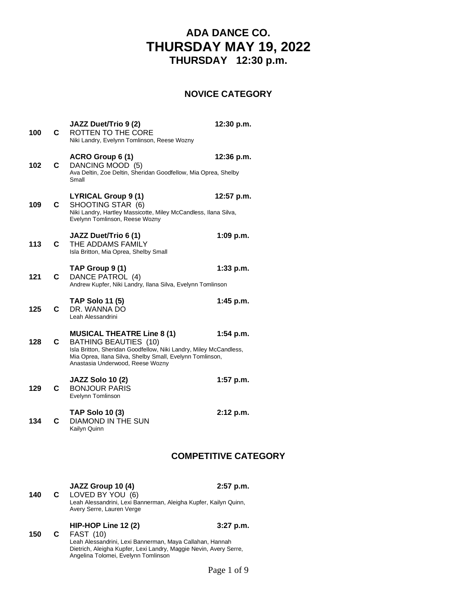# **ADA DANCE CO. THURSDAY MAY 19, 2022 THURSDAY 12:30 p.m.**

### **NOVICE CATEGORY**

| 100 | C. | JAZZ Duet/Trio 9 (2)<br>ROTTEN TO THE CORE<br>Niki Landry, Evelynn Tomlinson, Reese Wozny                                                                                                                                              | 12:30 p.m.                  |
|-----|----|----------------------------------------------------------------------------------------------------------------------------------------------------------------------------------------------------------------------------------------|-----------------------------|
| 102 | C. | ACRO Group 6 (1)<br>DANCING MOOD (5)<br>Ava Deltin, Zoe Deltin, Sheridan Goodfellow, Mia Oprea, Shelby<br>Small                                                                                                                        | 12:36 p.m.                  |
| 109 | C. | <b>LYRICAL Group 9 (1)</b><br>SHOOTING STAR (6)<br>Niki Landry, Hartley Massicotte, Miley McCandless, Ilana Silva,<br>Evelynn Tomlinson, Reese Wozny                                                                                   | 12:57 p.m.                  |
| 113 | С  | JAZZ Duet/Trio 6 (1)<br>THE ADDAMS FAMILY<br>Isla Britton, Mia Oprea, Shelby Small                                                                                                                                                     | $1:09$ p.m.                 |
| 121 | C. | TAP Group 9 (1)<br>DANCE PATROL (4)<br>Andrew Kupfer, Niki Landry, Ilana Silva, Evelynn Tomlinson                                                                                                                                      | $1:33$ p.m.                 |
| 125 | C  | <b>TAP Solo 11 (5)</b><br>DR. WANNA DO<br>Leah Alessandrini                                                                                                                                                                            | 1:45 p.m.                   |
| 128 | C. | <b>MUSICAL THEATRE Line 8 (1)</b><br><b>BATHING BEAUTIES (10)</b><br>Isla Britton, Sheridan Goodfellow, Niki Landry, Miley McCandless,<br>Mia Oprea, Ilana Silva, Shelby Small, Evelynn Tomlinson,<br>Anastasia Underwood, Reese Wozny | $1:54$ p.m.                 |
| 129 | C. | <b>JAZZ Solo 10 (2)</b><br><b>BONJOUR PARIS</b><br>Evelynn Tomlinson                                                                                                                                                                   | 1:57 p.m.                   |
| 134 | C. | <b>TAP Solo 10 (3)</b><br>DIAMOND IN THE SUN<br>Kailyn Quinn                                                                                                                                                                           | 2:12 p.m.                   |
|     |    |                                                                                                                                                                                                                                        | <b>COMPETITIVE CATEGORY</b> |
| 140 | C  | JAZZ Group 10 (4)<br>LOVED BY YOU (6)                                                                                                                                                                                                  | $2:57$ p.m.                 |

Leah Alessandrini, Lexi Bannerman, Aleigha Kupfer, Kailyn Quinn, Avery Serre, Lauren Verge **HIP-HOP Line 12 (2) 3:27 p.m. 150 C** FAST (10)

Leah Alessandrini, Lexi Bannerman, Maya Callahan, Hannah Dietrich, Aleigha Kupfer, Lexi Landry, Maggie Nevin, Avery Serre, Angelina Tolomei, Evelynn Tomlinson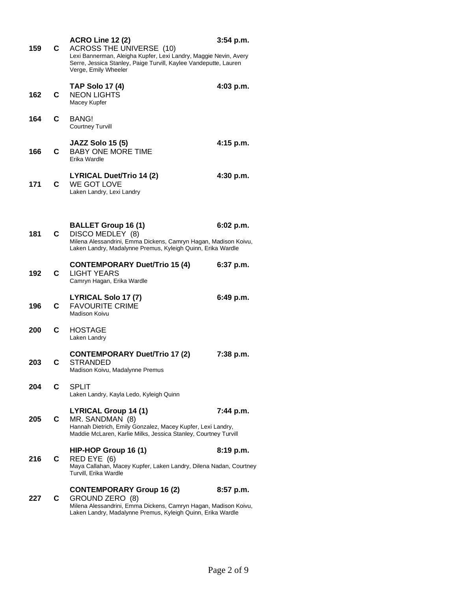| 159 | C  | <b>ACRO Line 12 (2)</b><br><b>ACROSS THE UNIVERSE (10)</b><br>Lexi Bannerman, Aleigha Kupfer, Lexi Landry, Maggie Nevin, Avery<br>Serre, Jessica Stanley, Paige Turvill, Kaylee Vandeputte, Lauren<br>Verge, Emily Wheeler | $3:54$ p.m. |
|-----|----|----------------------------------------------------------------------------------------------------------------------------------------------------------------------------------------------------------------------------|-------------|
| 162 | C  | <b>TAP Solo 17 (4)</b><br><b>NEON LIGHTS</b><br>Macey Kupfer                                                                                                                                                               | 4:03 p.m.   |
| 164 | C  | BANG!<br><b>Courtney Turvill</b>                                                                                                                                                                                           |             |
| 166 | C  | <b>JAZZ Solo 15 (5)</b><br><b>BABY ONE MORE TIME</b><br>Erika Wardle                                                                                                                                                       | 4:15 p.m.   |
| 171 | C  | <b>LYRICAL Duet/Trio 14 (2)</b><br>WE GOT LOVE<br>Laken Landry, Lexi Landry                                                                                                                                                | 4:30 p.m.   |
| 181 | C. | <b>BALLET Group 16 (1)</b><br>DISCO MEDLEY (8)<br>Milena Alessandrini, Emma Dickens, Camryn Hagan, Madison Koivu,<br>Laken Landry, Madalynne Premus, Kyleigh Quinn, Erika Wardle                                           | $6:02$ p.m. |
| 192 | C  | <b>CONTEMPORARY Duet/Trio 15 (4)</b><br><b>LIGHT YEARS</b><br>Camryn Hagan, Erika Wardle                                                                                                                                   | $6:37$ p.m. |
| 196 | C  | LYRICAL Solo 17 (7)<br><b>FAVOURITE CRIME</b><br>Madison Koivu                                                                                                                                                             | 6:49 p.m.   |
| 200 | C  | <b>HOSTAGE</b><br>Laken Landry                                                                                                                                                                                             |             |
| 203 | C  | <b>CONTEMPORARY Duet/Trio 17 (2)</b><br><b>STRANDED</b><br>Madison Koivu, Madalynne Premus                                                                                                                                 | 7:38 p.m.   |
| 204 | C. | <b>SPLIT</b><br>Laken Landry, Kayla Ledo, Kyleigh Quinn                                                                                                                                                                    |             |
| 205 | C  | LYRICAL Group 14 (1)<br>MR. SANDMAN (8)<br>Hannah Dietrich, Emily Gonzalez, Macey Kupfer, Lexi Landry,<br>Maddie McLaren, Karlie Milks, Jessica Stanley, Courtney Turvill                                                  | 7:44 p.m.   |
| 216 | C. | HIP-HOP Group 16 (1)<br>RED EYE (6)<br>Maya Callahan, Macey Kupfer, Laken Landry, Dilena Nadan, Courtney<br>Turvill, Erika Wardle                                                                                          | 8:19 p.m.   |
| 227 | C  | <b>CONTEMPORARY Group 16 (2)</b><br>GROUND ZERO (8)<br>Milena Alessandrini, Emma Dickens, Camryn Hagan, Madison Koivu,<br>Laken Landry, Madalynne Premus, Kyleigh Quinn, Erika Wardle                                      | 8:57 p.m.   |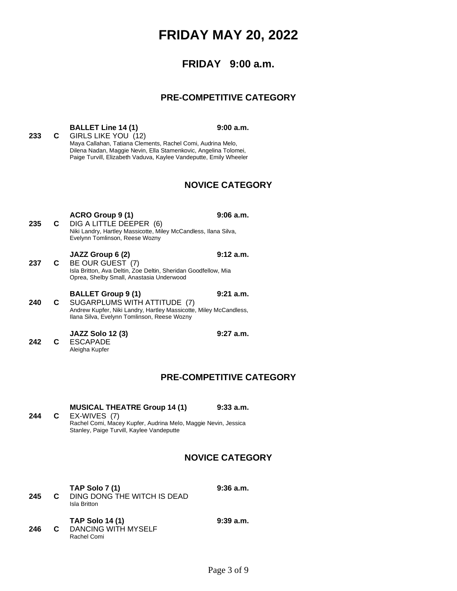# **FRIDAY MAY 20, 2022**

# **FRIDAY 9:00 a.m.**

### **PRE-COMPETITIVE CATEGORY**

**BALLET Line 14 (1) 9:00 a.m. 233 C** GIRLS LIKE YOU (12) Maya Callahan, Tatiana Clements, Rachel Comi, Audrina Melo, Dilena Nadan, Maggie Nevin, Ella Stamenkovic, Angelina Tolomei, Paige Turvill, Elizabeth Vaduva, Kaylee Vandeputte, Emily Wheeler

# **NOVICE CATEGORY**

**ACRO Group 9 (1) 9:06 a.m.** 

- **235 C** DIG A LITTLE DEEPER (6) Niki Landry, Hartley Massicotte, Miley McCandless, Ilana Silva, Evelynn Tomlinson, Reese Wozny
- **JAZZ Group 6 (2) 9:12 a.m. 237 C** BE OUR GUEST (7) Isla Britton, Ava Deltin, Zoe Deltin, Sheridan Goodfellow, Mia Oprea, Shelby Small, Anastasia Underwood
- **BALLET Group 9 (1) 9:21 a.m. 240 C** SUGARPLUMS WITH ATTITUDE (7) Andrew Kupfer, Niki Landry, Hartley Massicotte, Miley McCandless, Ilana Silva, Evelynn Tomlinson, Reese Wozny
- **JAZZ Solo 12 (3) 9:27 a.m. 242 C** ESCAPADE Aleigha Kupfer

# **PRE-COMPETITIVE CATEGORY**

#### **MUSICAL THEATRE Group 14 (1) 9:33 a.m.**

**244 C** EX-WIVES (7) Rachel Comi, Macey Kupfer, Audrina Melo, Maggie Nevin, Jessica Stanley, Paige Turvill, Kaylee Vandeputte

## **NOVICE CATEGORY**

**TAP Solo 7 (1) 9:36 a.m.** 

**245 C** DING DONG THE WITCH IS DEAD Isla Britton

**TAP Solo 14 (1) 9:39 a.m. 246 C** DANCING WITH MYSELF Rachel Comi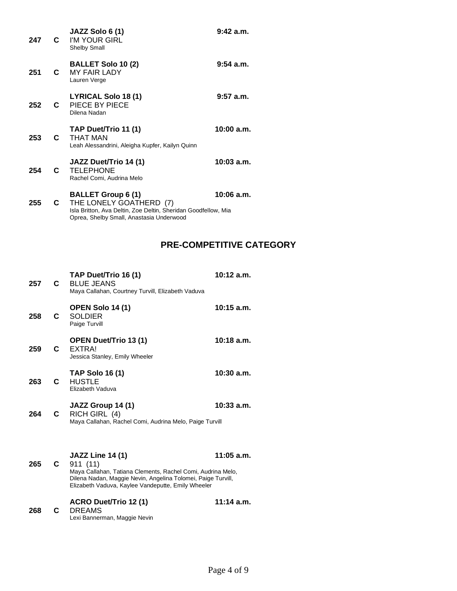| 247 | C | JAZZ Solo 6 (1)<br>I'M YOUR GIRL<br><b>Shelby Small</b>                                                                                                            | 9:42 a.m.                       |
|-----|---|--------------------------------------------------------------------------------------------------------------------------------------------------------------------|---------------------------------|
| 251 | C | <b>BALLET Solo 10 (2)</b><br><b>MY FAIR LADY</b><br>Lauren Verge                                                                                                   | $9:54$ a.m.                     |
| 252 | C | LYRICAL Solo 18 (1)<br>PIECE BY PIECE<br>Dilena Nadan                                                                                                              | $9:57$ a.m.                     |
| 253 | C | TAP Duet/Trio 11 (1)<br><b>THAT MAN</b><br>Leah Alessandrini, Aleigha Kupfer, Kailyn Quinn                                                                         | 10:00 a.m.                      |
| 254 | C | JAZZ Duet/Trio 14 (1)<br><b>TELEPHONE</b><br>Rachel Comi, Audrina Melo                                                                                             | $10:03$ a.m.                    |
| 255 | C | <b>BALLET Group 6 (1)</b><br>THE LONELY GOATHERD (7)<br>Isla Britton, Ava Deltin, Zoe Deltin, Sheridan Goodfellow, Mia<br>Oprea, Shelby Small, Anastasia Underwood | $10:06$ a.m.                    |
|     |   |                                                                                                                                                                    | <b>PRE-COMPETITIVE CATEGORY</b> |
| 257 | C | TAP Duet/Trio 16 (1)<br><b>BLUE JEANS</b><br>Maya Callahan, Courtney Turvill, Elizabeth Vaduva                                                                     | 10:12 a.m.                      |
| 258 | C | OPEN Solo 14 (1)<br><b>SOLDIER</b><br>Paige Turvill                                                                                                                | $10:15$ a.m.                    |

- **OPEN Duet/Trio 13 (1) 10:18 a.m. 259 C** EXTRA! Jessica Stanley, Emily Wheeler
- **TAP Solo 16 (1) 10:30 a.m. 263 C** HUSTLE Elizabeth Vaduva

**JAZZ Group 14 (1) 10:33 a.m. 264 C** RICH GIRL (4) Maya Callahan, Rachel Comi, Audrina Melo, Paige Turvill

**JAZZ Line 14 (1) 11:05 a.m.** 

**265 C** 911 (11) Maya Callahan, Tatiana Clements, Rachel Comi, Audrina Melo, Dilena Nadan, Maggie Nevin, Angelina Tolomei, Paige Turvill, Elizabeth Vaduva, Kaylee Vandeputte, Emily Wheeler

### **ACRO Duet/Trio 12 (1) 11:14 a.m.**

**268 C** DREAMS Lexi Bannerman, Maggie Nevin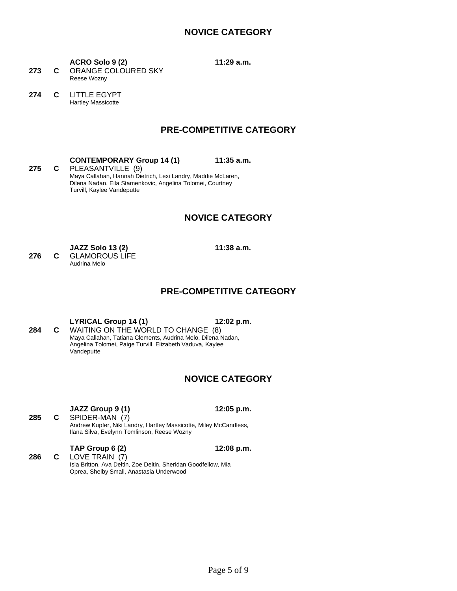## **NOVICE CATEGORY**

#### **ACRO Solo 9 (2) 11:29 a.m.**

**273 C** ORANGE COLOURED SKY Reese Wozny

**274 C** LITTLE EGYPT Hartley Massicotte

# **PRE-COMPETITIVE CATEGORY**

#### **CONTEMPORARY Group 14 (1) 11:35 a.m.**

**275 C** PLEASANTVILLE (9) Maya Callahan, Hannah Dietrich, Lexi Landry, Maddie McLaren, Dilena Nadan, Ella Stamenkovic, Angelina Tolomei, Courtney Turvill, Kaylee Vandeputte

### **NOVICE CATEGORY**

**JAZZ Solo 13 (2) 11:38 a.m. 276 C** GLAMOROUS LIFE Audrina Melo

### **PRE-COMPETITIVE CATEGORY**

**LYRICAL Group 14 (1) 12:02 p.m.** 

**284 C** WAITING ON THE WORLD TO CHANGE (8) Maya Callahan, Tatiana Clements, Audrina Melo, Dilena Nadan, Angelina Tolomei, Paige Turvill, Elizabeth Vaduva, Kaylee Vandeputte

### **NOVICE CATEGORY**

**JAZZ Group 9 (1) 12:05 p.m.** 

**285 C** SPIDER-MAN (7) Andrew Kupfer, Niki Landry, Hartley Massicotte, Miley McCandless, Ilana Silva, Evelynn Tomlinson, Reese Wozny

**TAP Group 6 (2) 12:08 p.m.** 

**286 C** LOVE TRAIN (7) Isla Britton, Ava Deltin, Zoe Deltin, Sheridan Goodfellow, Mia Oprea, Shelby Small, Anastasia Underwood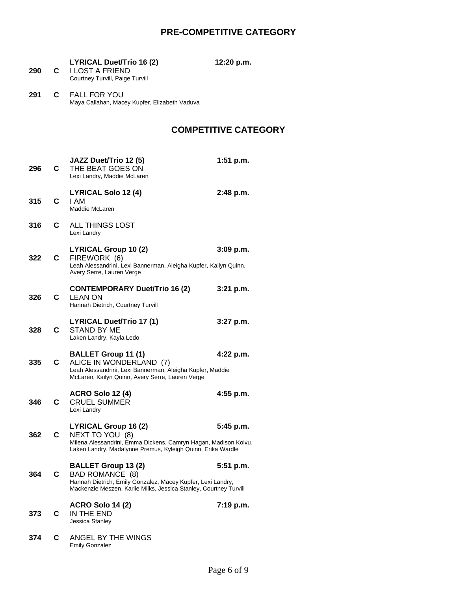# **PRE-COMPETITIVE CATEGORY**

### **LYRICAL Duet/Trio 16 (2) 12:20 p.m.**

**290 C** I LOST A FRIEND Courtney Turvill, Paige Turvill

**291 C** FALL FOR YOU Maya Callahan, Macey Kupfer, Elizabeth Vaduva

# **COMPETITIVE CATEGORY**

| 296 | C. | JAZZ Duet/Trio 12 (5)<br>THE BEAT GOES ON<br>Lexi Landry, Maddie McLaren                                                                                                                 | $1:51$ p.m. |
|-----|----|------------------------------------------------------------------------------------------------------------------------------------------------------------------------------------------|-------------|
| 315 | C  | LYRICAL Solo 12 (4)<br>I AM<br>Maddie McLaren                                                                                                                                            | $2:48$ p.m. |
| 316 | C  | <b>ALL THINGS LOST</b><br>Lexi Landry                                                                                                                                                    |             |
| 322 | C. | LYRICAL Group 10 (2)<br>FIREWORK (6)<br>Leah Alessandrini, Lexi Bannerman, Aleigha Kupfer, Kailyn Quinn,<br>Avery Serre, Lauren Verge                                                    | $3:09$ p.m. |
| 326 | C  | <b>CONTEMPORARY Duet/Trio 16 (2)</b><br>LEAN ON<br>Hannah Dietrich, Courtney Turvill                                                                                                     | $3:21$ p.m. |
| 328 | C. | LYRICAL Duet/Trio 17 (1)<br><b>STAND BY ME</b><br>Laken Landry, Kayla Ledo                                                                                                               | $3:27$ p.m. |
| 335 | C. | <b>BALLET Group 11 (1)</b><br>ALICE IN WONDERLAND (7)<br>Leah Alessandrini, Lexi Bannerman, Aleigha Kupfer, Maddie<br>McLaren, Kailyn Quinn, Avery Serre, Lauren Verge                   | 4:22 p.m.   |
| 346 | C. | <b>ACRO Solo 12 (4)</b><br><b>CRUEL SUMMER</b><br>Lexi Landry                                                                                                                            | 4:55 p.m.   |
| 362 | C. | LYRICAL Group 16 (2)<br>NEXT TO YOU (8)<br>Milena Alessandrini, Emma Dickens, Camryn Hagan, Madison Koivu,<br>Laken Landry, Madalynne Premus, Kyleigh Quinn, Erika Wardle                | 5:45 p.m.   |
| 364 | C  | <b>BALLET Group 13 (2)</b><br><b>BAD ROMANCE (8)</b><br>Hannah Dietrich, Emily Gonzalez, Macey Kupfer, Lexi Landry,<br>Mackenzie Meszen, Karlie Milks, Jessica Stanley, Courtney Turvill | 5:51 p.m.   |
| 373 | C  | <b>ACRO Solo 14 (2)</b><br>IN THE END<br>Jessica Stanley                                                                                                                                 | 7:19 p.m.   |
| 374 | C  | ANGEL BY THE WINGS<br><b>Emily Gonzalez</b>                                                                                                                                              |             |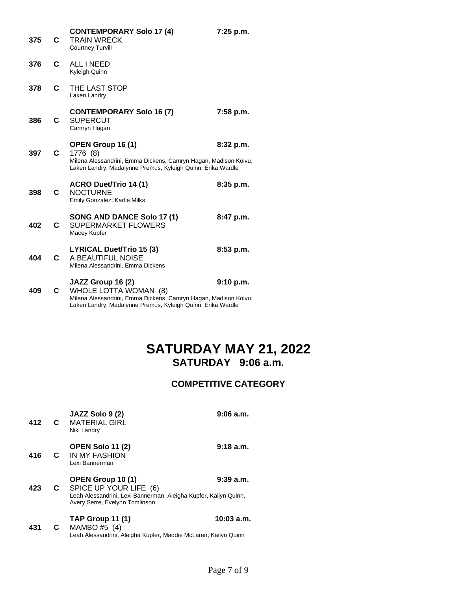| 375 | C | TRAIN WRECK<br><b>Courtney Turvill</b>                                                                                                                                       |             |
|-----|---|------------------------------------------------------------------------------------------------------------------------------------------------------------------------------|-------------|
| 376 | C | ALL I NEED<br>Kyleigh Quinn                                                                                                                                                  |             |
| 378 | C | THE LAST STOP<br>Laken Landry                                                                                                                                                |             |
| 386 | C | <b>CONTEMPORARY Solo 16 (7)</b><br><b>SUPERCUT</b><br>Camryn Hagan                                                                                                           | 7:58 p.m.   |
| 397 | C | OPEN Group 16 (1)<br>1776 (8)<br>Milena Alessandrini, Emma Dickens, Camryn Hagan, Madison Koivu,<br>Laken Landry, Madalynne Premus, Kyleigh Quinn, Erika Wardle              | 8:32 p.m.   |
| 398 | C | ACRO Duet/Trio 14 (1)<br><b>NOCTURNE</b><br>Emily Gonzalez, Karlie Milks                                                                                                     | 8:35 p.m.   |
| 402 | C | SONG AND DANCE Solo 17 (1)<br>SUPERMARKET FLOWERS<br>Macey Kupfer                                                                                                            | $8:47$ p.m. |
| 404 | C | LYRICAL Duet/Trio 15 (3)<br>A BEAUTIFUL NOISE<br>Milena Alessandrini, Emma Dickens                                                                                           | $8:53$ p.m. |
| 409 | C | JAZZ Group 16 (2)<br>WHOLE LOTTA WOMAN (8)<br>Milena Alessandrini, Emma Dickens, Camryn Hagan, Madison Koivu,<br>Laken Landry, Madalynne Premus, Kyleigh Quinn, Erika Wardle | 9:10 p.m.   |

# **SATURDAY MAY 21, 2022 SATURDAY 9:06 a.m.**

# **COMPETITIVE CATEGORY**

**OPEN Solo 11 (2) 9:18 a.m. 416 C** IN MY FASHION Lexi Bannerman **OPEN Group 10 (1) 9:39 a.m. 423 C** SPICE UP YOUR LIFE (6) Leah Alessandrini, Lexi Bannerman, Aleigha Kupfer, Kailyn Quinn, Avery Serre, Evelynn Tomlinson

**TAP Group 11 (1) 10:03 a.m.** 

**412 C** MATERIAL GIRL Niki Landry

- 
- **431 C** MAMBO #5 (4) Leah Alessandrini, Aleigha Kupfer, Maddie McLaren, Kailyn Quinn

**JAZZ Solo 9 (2) 9:06 a.m.**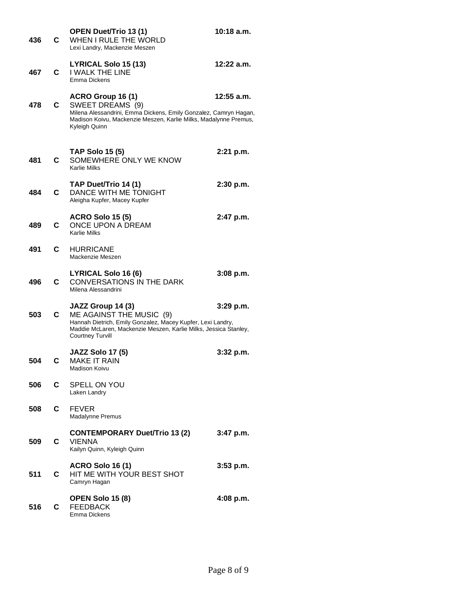| 436 | C  | <b>OPEN Duet/Trio 13 (1)</b><br>WHEN I RULE THE WORLD<br>Lexi Landry, Mackenzie Meszen                                                                                                                      | $10:18$ a.m. |
|-----|----|-------------------------------------------------------------------------------------------------------------------------------------------------------------------------------------------------------------|--------------|
| 467 | C  | LYRICAL Solo 15 (13)<br><b>I WALK THE LINE</b><br>Emma Dickens                                                                                                                                              | 12:22 a.m.   |
| 478 | C. | ACRO Group 16 (1)<br>SWEET DREAMS (9)<br>Milena Alessandrini, Emma Dickens, Emily Gonzalez, Camryn Hagan,<br>Madison Koivu, Mackenzie Meszen, Karlie Milks, Madalynne Premus,<br>Kyleigh Quinn              | 12:55 a.m.   |
| 481 | C. | <b>TAP Solo 15 (5)</b><br>SOMEWHERE ONLY WE KNOW<br>Karlie Milks                                                                                                                                            | 2:21 p.m.    |
| 484 | C  | TAP Duet/Trio 14 (1)<br>DANCE WITH ME TONIGHT<br>Aleigha Kupfer, Macey Kupfer                                                                                                                               | 2:30 p.m.    |
| 489 | C  | <b>ACRO Solo 15 (5)</b><br>ONCE UPON A DREAM<br>Karlie Milks                                                                                                                                                | 2:47 p.m.    |
| 491 | C. | <b>HURRICANE</b><br>Mackenzie Meszen                                                                                                                                                                        |              |
| 496 | C  | LYRICAL Solo 16 (6)<br><b>CONVERSATIONS IN THE DARK</b><br>Milena Alessandrini                                                                                                                              | $3:08$ p.m.  |
| 503 | C  | JAZZ Group 14 (3)<br>ME AGAINST THE MUSIC (9)<br>Hannah Dietrich, Emily Gonzalez, Macey Kupfer, Lexi Landry,<br>Maddie McLaren, Mackenzie Meszen, Karlie Milks, Jessica Stanley,<br><b>Courtney Turvill</b> | $3:29$ p.m.  |
| 504 | С  | <b>JAZZ Solo 17 (5)</b><br><b>MAKE IT RAIN</b><br>Madison Koivu                                                                                                                                             | $3:32$ p.m.  |
| 506 | C  | SPELL ON YOU<br>Laken Landry                                                                                                                                                                                |              |
| 508 | C. | <b>FEVER</b><br>Madalynne Premus                                                                                                                                                                            |              |
| 509 | C  | <b>CONTEMPORARY Duet/Trio 13 (2)</b><br><b>VIENNA</b><br>Kailyn Quinn, Kyleigh Quinn                                                                                                                        | 3:47 p.m.    |
| 511 | C  | <b>ACRO Solo 16 (1)</b><br>HIT ME WITH YOUR BEST SHOT<br>Camryn Hagan                                                                                                                                       | $3:53$ p.m.  |
| 516 | C  | OPEN Solo 15 (8)<br><b>FEEDBACK</b><br>Emma Dickens                                                                                                                                                         | 4:08 p.m.    |